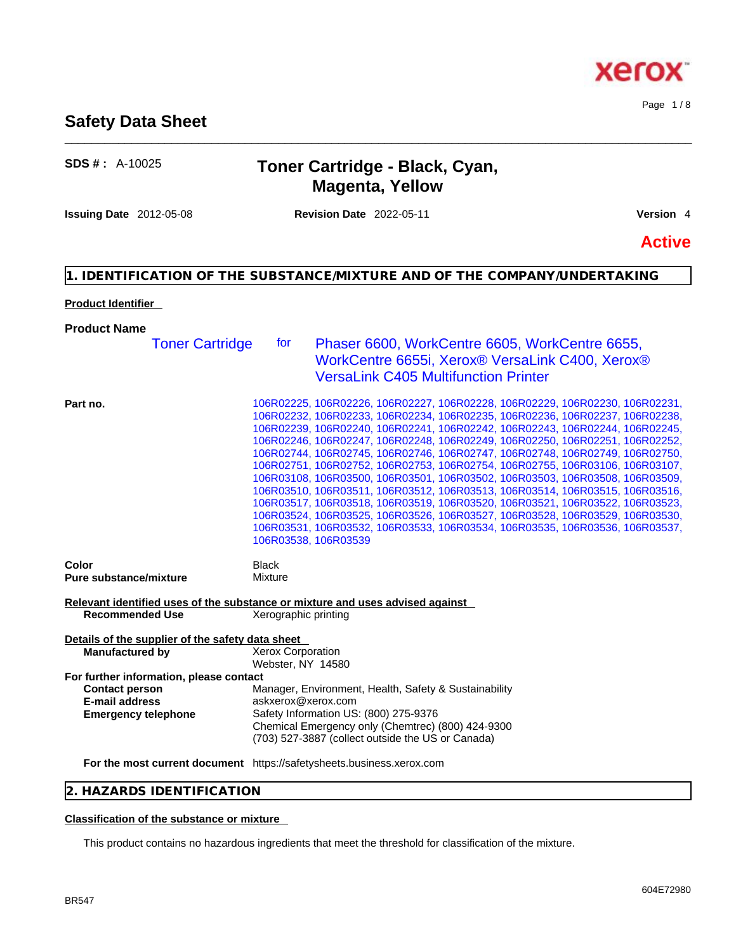## **SDS # :** A-10025 **Toner Cartridge - Black, Cyan, Magenta, Yellow**

\_\_\_\_\_\_\_\_\_\_\_\_\_\_\_\_\_\_\_\_\_\_\_\_\_\_\_\_\_\_\_\_\_\_\_\_\_\_\_\_\_\_\_\_\_\_\_\_\_\_\_\_\_\_\_\_\_\_\_\_\_\_\_\_\_\_\_\_\_\_\_\_\_\_\_\_\_\_\_\_\_\_\_\_\_\_\_\_\_\_\_\_\_\_

**Issuing Date** 2012-05-08 **Revision Date** 2022-05-11 **Version** 4

**Safety Data Sheet** 

**Active**

### **1. IDENTIFICATION OF THE SUBSTANCE/MIXTURE AND OF THE COMPANY/UNDERTAKING**

### **Product Identifier**

## **Product Name**

| <b>Toner Cartridge</b>                                                                                           | for                                           | Phaser 6600, WorkCentre 6605, WorkCentre 6655,<br>WorkCentre 6655i, Xerox® VersaLink C400, Xerox®<br><b>VersaLink C405 Multifunction Printer</b>                                                                                                                                                                                                                                                                                                                                                                                                                                                                                                                                                                                                                                                                                                                                                                                     |
|------------------------------------------------------------------------------------------------------------------|-----------------------------------------------|--------------------------------------------------------------------------------------------------------------------------------------------------------------------------------------------------------------------------------------------------------------------------------------------------------------------------------------------------------------------------------------------------------------------------------------------------------------------------------------------------------------------------------------------------------------------------------------------------------------------------------------------------------------------------------------------------------------------------------------------------------------------------------------------------------------------------------------------------------------------------------------------------------------------------------------|
| Part no.                                                                                                         |                                               | 106R02225, 106R02226, 106R02227, 106R02228, 106R02229, 106R02230, 106R02231,<br>106R02232, 106R02233, 106R02234, 106R02235, 106R02236, 106R02237, 106R02238,<br>106R02239, 106R02240, 106R02241, 106R02242, 106R02243, 106R02244, 106R02245,<br>106R02246, 106R02247, 106R02248, 106R02249, 106R02250, 106R02251, 106R02252,<br>106R02744, 106R02745, 106R02746, 106R02747, 106R02748, 106R02749, 106R02750,<br>106R02751, 106R02752, 106R02753, 106R02754, 106R02755, 106R03106, 106R03107,<br>106R03108, 106R03500, 106R03501, 106R03502, 106R03503, 106R03508, 106R03509,<br>106R03510, 106R03511, 106R03512, 106R03513, 106R03514, 106R03515, 106R03516,<br>106R03517, 106R03518, 106R03519, 106R03520, 106R03521, 106R03522, 106R03523,<br>106R03524, 106R03525, 106R03526, 106R03527, 106R03528, 106R03529, 106R03530,<br>106R03531, 106R03532, 106R03533, 106R03534, 106R03535, 106R03536, 106R03537,<br>106R03538, 106R03539 |
| Color<br><b>Pure substance/mixture</b>                                                                           | <b>Black</b><br>Mixture                       |                                                                                                                                                                                                                                                                                                                                                                                                                                                                                                                                                                                                                                                                                                                                                                                                                                                                                                                                      |
| Relevant identified uses of the substance or mixture and uses advised against<br><b>Recommended Use</b>          | Xerographic printing                          |                                                                                                                                                                                                                                                                                                                                                                                                                                                                                                                                                                                                                                                                                                                                                                                                                                                                                                                                      |
| Details of the supplier of the safety data sheet<br><b>Manufactured by</b>                                       | <b>Xerox Corporation</b><br>Webster, NY 14580 |                                                                                                                                                                                                                                                                                                                                                                                                                                                                                                                                                                                                                                                                                                                                                                                                                                                                                                                                      |
| For further information, please contact<br><b>Contact person</b><br>E-mail address<br><b>Emergency telephone</b> | askxerox@xerox.com                            | Manager, Environment, Health, Safety & Sustainability<br>Safety Information US: (800) 275-9376<br>Chemical Emergency only (Chemtrec) (800) 424-9300<br>(703) 527-3887 (collect outside the US or Canada)                                                                                                                                                                                                                                                                                                                                                                                                                                                                                                                                                                                                                                                                                                                             |
| For the most current document https://safetysheets.business.xerox.com                                            |                                               |                                                                                                                                                                                                                                                                                                                                                                                                                                                                                                                                                                                                                                                                                                                                                                                                                                                                                                                                      |

### **2. HAZARDS IDENTIFICATION**

### **Classification of the substance or mixture**

This product contains no hazardous ingredients that meet the threshold for classification of the mixture.



Page 1 / 8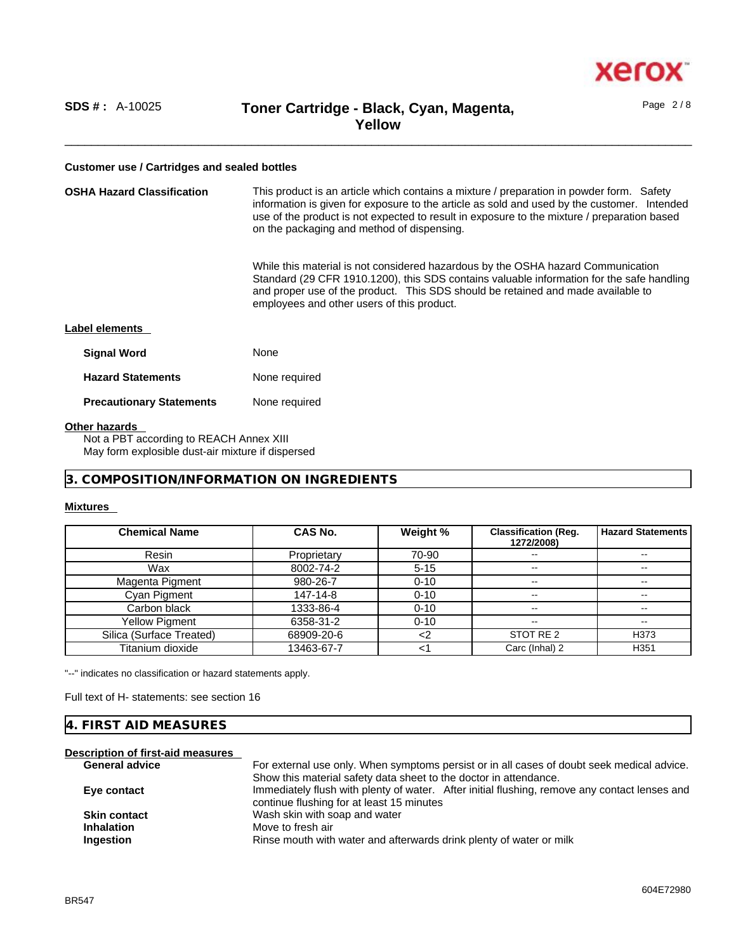

Page 2 / 8

### **Customer use / Cartridges and sealed bottles**

| <b>OSHA Hazard Classification</b> | This product is an article which contains a mixture / preparation in powder form. Safety<br>information is given for exposure to the article as sold and used by the customer. Intended<br>use of the product is not expected to result in exposure to the mixture / preparation based<br>on the packaging and method of dispensing. |  |  |  |
|-----------------------------------|--------------------------------------------------------------------------------------------------------------------------------------------------------------------------------------------------------------------------------------------------------------------------------------------------------------------------------------|--|--|--|
|                                   | While this material is not considered hazardous by the OSHA hazard Communication<br>Standard (29 CFR 1910.1200), this SDS contains valuable information for the safe handling<br>and proper use of the product. This SDS should be retained and made available to<br>employees and other users of this product.                      |  |  |  |
| Label elements                    |                                                                                                                                                                                                                                                                                                                                      |  |  |  |
| <b>Signal Word</b>                | None                                                                                                                                                                                                                                                                                                                                 |  |  |  |
| <b>Hazard Statements</b>          | None required                                                                                                                                                                                                                                                                                                                        |  |  |  |
| <b>Precautionary Statements</b>   | None required                                                                                                                                                                                                                                                                                                                        |  |  |  |
| <b>Other hazards</b>              |                                                                                                                                                                                                                                                                                                                                      |  |  |  |

Not a PBT according to REACH Annex XIII May form explosible dust-air mixture if dispersed

**3. COMPOSITION/INFORMATION ON INGREDIENTS** 

### **Mixtures**

| <b>Chemical Name</b>     | <b>CAS No.</b> | Weight % | <b>Classification (Reg.</b><br>1272/2008) | <b>Hazard Statements</b> |
|--------------------------|----------------|----------|-------------------------------------------|--------------------------|
| Resin                    | Proprietary    | 70-90    | $- -$                                     |                          |
| Wax                      | 8002-74-2      | $5 - 15$ | $\overline{\phantom{m}}$                  | $\overline{\phantom{m}}$ |
| Magenta Pigment          | 980-26-7       | $0 - 10$ | $- -$                                     |                          |
| Cyan Pigment             | 147-14-8       | $0 - 10$ | $- -$                                     | $- -$                    |
| Carbon black             | 1333-86-4      | $0 - 10$ | --                                        | $\overline{\phantom{a}}$ |
| <b>Yellow Pigment</b>    | 6358-31-2      | $0 - 10$ | $- -$                                     | $- -$                    |
| Silica (Surface Treated) | 68909-20-6     |          | STOT RE 2                                 | H373                     |
| Titanium dioxide         | 13463-67-7     |          | Carc (Inhal) 2                            | H351                     |

"--" indicates no classification or hazard statements apply.

Full text of H- statements: see section 16

### **4. FIRST AID MEASURES**

| Description of first-aid measures |                                                                                                                                            |
|-----------------------------------|--------------------------------------------------------------------------------------------------------------------------------------------|
| <b>General advice</b>             | For external use only. When symptoms persist or in all cases of doubt seek medical advice.                                                 |
|                                   | Show this material safety data sheet to the doctor in attendance.                                                                          |
| Eye contact                       | Immediately flush with plenty of water. After initial flushing, remove any contact lenses and<br>continue flushing for at least 15 minutes |
| <b>Skin contact</b>               | Wash skin with soap and water                                                                                                              |
| <b>Inhalation</b>                 | Move to fresh air                                                                                                                          |
| Ingestion                         | Rinse mouth with water and afterwards drink plenty of water or milk                                                                        |
|                                   |                                                                                                                                            |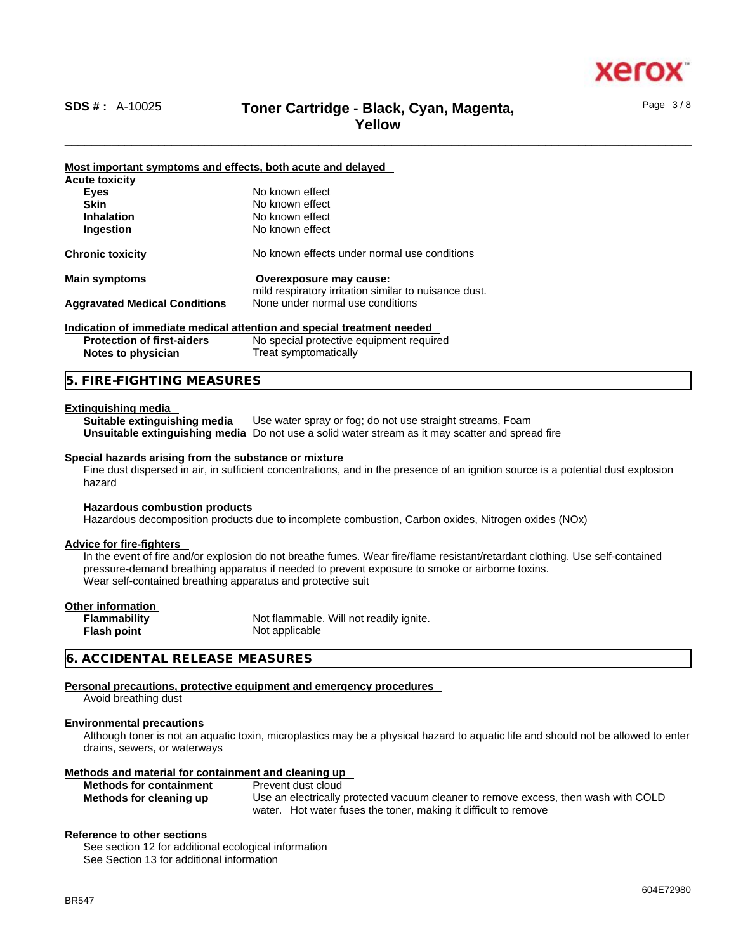

Page 3 / 8

### \_\_\_\_\_\_\_\_\_\_\_\_\_\_\_\_\_\_\_\_\_\_\_\_\_\_\_\_\_\_\_\_\_\_\_\_\_\_\_\_\_\_\_\_\_\_\_\_\_\_\_\_\_\_\_\_\_\_\_\_\_\_\_\_\_\_\_\_\_\_\_\_\_\_\_\_\_\_\_\_\_\_\_\_\_\_\_\_\_\_\_\_\_\_ **SDS # :** A-10025 **Toner Cartridge - Black, Cyan, Magenta, Yellow**

**Most important symptoms and effects, both acute and delayed Acute toxicity Eyes** No known effect<br> **Skin** No known effect **Skin**<br> **Inhalation**<br>
No known effect<br>
No known effect **No known effect Ingestion** No known effect **Chronic toxicity** No known effects under normal use conditions **Main symptoms Overexposure may cause:**  mild respiratory irritation similar to nuisance dust.<br>None under normal use conditions **Aggravated Medical Conditions Indication of immediate medical attention and special treatment needed Protection of first-aiders** No special protective equipment required **Notes to physician** Treat symptomatically

### **5. FIRE-FIGHTING MEASURES**

### **Extinguishing media**

**Suitable extinguishing media** Use water spray or fog; do not use straight streams, Foam **Unsuitable extinguishing media** Do not use a solid water stream as it may scatterand spread fire

### **Special hazards arising from the substance or mixture**

Fine dust dispersed in air, in sufficient concentrations, and in the presence of an ignition source is a potential dust explosion hazard

### **Hazardous combustion products**

Hazardous decomposition products due to incomplete combustion, Carbon oxides, Nitrogen oxides (NOx)

### **Advice for fire-fighters**

In the event of fire and/or explosion do not breathe fumes. Wear fire/flame resistant/retardant clothing. Use self-contained pressure-demand breathing apparatus if needed to prevent exposure to smoke or airborne toxins. Wear self-contained breathing apparatus and protective suit

| Other information   |         |
|---------------------|---------|
| <b>Flammability</b> | Not fla |
| <b>Flash point</b>  | Not ap  |

Not flammable. Will not readily ignite. **Not applicable** 

### **6. ACCIDENTAL RELEASE MEASURES**

### **Personal precautions, protective equipment and emergency procedures**

Avoid breathing dust

### **Environmental precautions**

Although toner is not an aquatic toxin, microplastics may be a physical hazard to aquatic life and should not be allowed to enter drains, sewers, or waterways

### **Methods and material for containment and cleaning up**

**Methods for containment** Prevent dust cloud

**Methods for cleaning up** Use an electrically protected vacuum cleaner to remove excess, then wash with COLD water. Hot water fuses the toner, making it difficult to remove

### **Reference to other sections**

See section 12 for additional ecological information See Section 13 for additional information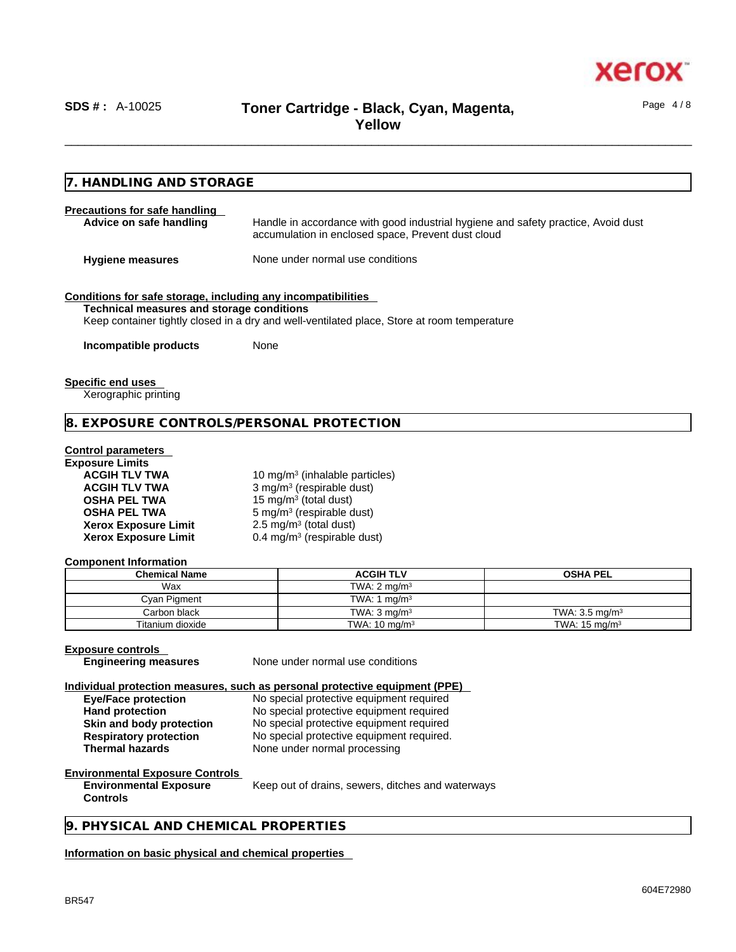

Page 4 / 8

**7. HANDLING AND STORAGE Precautions for safe handling Advice on safe handling** Handle in accordance with good industrial hygiene and safety practice, Avoid dust accumulation in enclosed space, Prevent dust cloud **Hygiene measures** None under normal use conditions **Conditions for safe storage, including any incompatibilities Technical measures and storage conditions** Keep container tightly closed in a dry and well-ventilated place, Store at room temperature **Incompatible products** None **Specific end uses**  Xerographic printing **8. EXPOSURE CONTROLS/PERSONAL PROTECTION Control parameters Exposure Limits** ACGIH TLV TWA **10 mg/m<sup>3</sup> (inhalable particles) ACGIH TLV TWA** 3 mg/m<sup>3</sup> (respirable dust) **OSHA PEL TWA** 15 mg/m<sup>3</sup> (total dust) **OSHA PEL TWA** 5 mg/m<sup>3</sup> (respirable dust) **Xerox Exposure Limit**  $2.5 \text{ mg/m}^3$  (total dust) **Xerox Exposure Limit** 0.4 mg/m<sup>3</sup> (respirable dust) **Component Information Chemical Name Contract ACGIH TLV CONTRACTED ACGIH TLV COSHA PEL** Wax **Wax** TWA: 2 mg/m<sup>3</sup> Cyan Pigment **TWA:** 1 mg/m<sup>3</sup> Carbon black TWA: 3 mg/m<sup>3</sup> TWA: 3 mg/m<sup>3</sup> TWA: 3 mg/m<sup>3</sup> TWA: 3 mg/m<sup>3</sup> Titanium dioxide **TWA:** TWA: 10 mg/m<sup>3</sup> TWA: 15 mg/m<sup>3</sup> **Exposure controls Engineering measures** None under normal use conditions **Individual protection measures, such as personal protective equipment (PPE) Eye/Face protection** No special protective equipment required **Hand protection** No special protective equipment required **Skin and body protection** No special protective equipment required<br> **Respiratory protection** No special protective equipment required. No special protective equipment required. **Thermal hazards** None under normal processing **Environmental Exposure Controls Environmental Exposure Controls**  Keep out of drains, sewers, ditches and waterways **9. PHYSICAL AND CHEMICAL PROPERTIES Information on basic physical and chemical properties**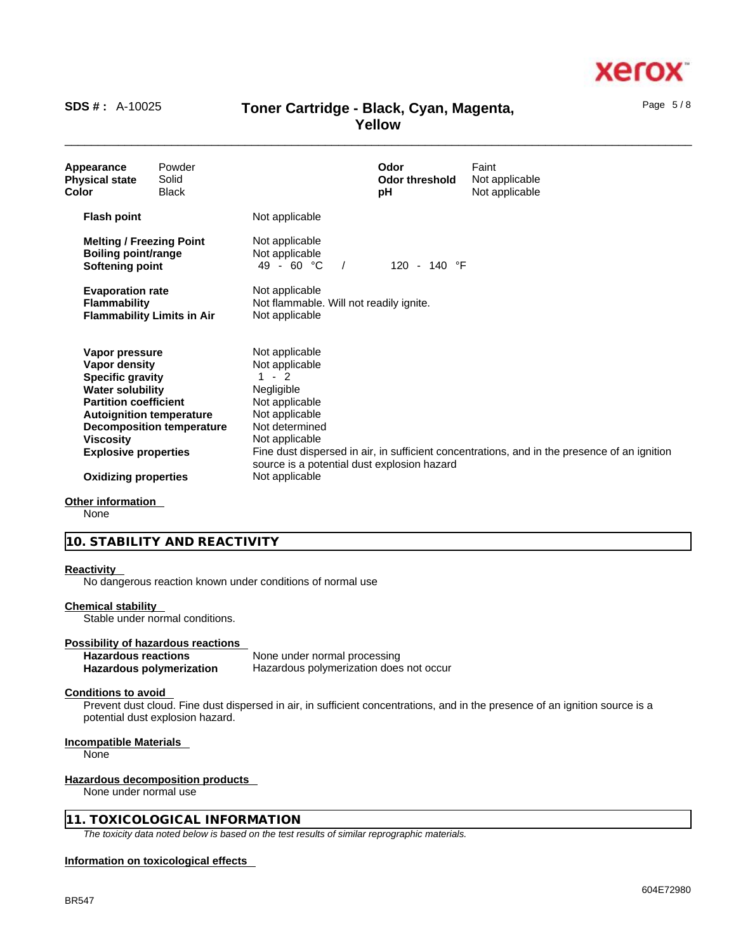# xero

### \_\_\_\_\_\_\_\_\_\_\_\_\_\_\_\_\_\_\_\_\_\_\_\_\_\_\_\_\_\_\_\_\_\_\_\_\_\_\_\_\_\_\_\_\_\_\_\_\_\_\_\_\_\_\_\_\_\_\_\_\_\_\_\_\_\_\_\_\_\_\_\_\_\_\_\_\_\_\_\_\_\_\_\_\_\_\_\_\_\_\_\_\_\_ **SDS # :** A-10025 **Toner Cartridge - Black, Cyan, Magenta, Yellow**

| Appearance<br><b>Physical state</b><br>Color                                                                                                                                                         | Powder<br>Solid<br><b>Black</b>   |                                                                                                                                                                               | Odor<br>Odor threshold<br>рH | Faint<br>Not applicable<br>Not applicable                                                    |
|------------------------------------------------------------------------------------------------------------------------------------------------------------------------------------------------------|-----------------------------------|-------------------------------------------------------------------------------------------------------------------------------------------------------------------------------|------------------------------|----------------------------------------------------------------------------------------------|
| <b>Flash point</b>                                                                                                                                                                                   |                                   | Not applicable                                                                                                                                                                |                              |                                                                                              |
| <b>Melting / Freezing Point</b><br><b>Boiling point/range</b><br>Softening point                                                                                                                     |                                   | Not applicable<br>Not applicable<br>49 - 60 °C                                                                                                                                | 120 - 140 °F                 |                                                                                              |
| <b>Evaporation rate</b><br><b>Flammability</b>                                                                                                                                                       | <b>Flammability Limits in Air</b> | Not applicable<br>Not flammable. Will not readily ignite.<br>Not applicable                                                                                                   |                              |                                                                                              |
| Vapor pressure<br>Vapor density<br><b>Specific gravity</b><br><b>Water solubility</b><br><b>Partition coefficient</b><br><b>Autoignition temperature</b><br>Viscosity<br><b>Explosive properties</b> | <b>Decomposition temperature</b>  | Not applicable<br>Not applicable<br>$-2$<br>Negligible<br>Not applicable<br>Not applicable<br>Not determined<br>Not applicable<br>source is a potential dust explosion hazard |                              | Fine dust dispersed in air, in sufficient concentrations, and in the presence of an ignition |
| <b>Oxidizing properties</b>                                                                                                                                                                          |                                   | Not applicable                                                                                                                                                                |                              |                                                                                              |

### **Other information**

None

### **10. STABILITY AND REACTIVITY**

### **Reactivity**

No dangerous reaction known under conditions of normal use

### **Chemical stability**

Stable under normal conditions.

### **Possibility of hazardous reactions**

| <b>Hazardous reactions</b> | None under normal processing            |
|----------------------------|-----------------------------------------|
| Hazardous polymerization   | Hazardous polymerization does not occur |

### **Conditions to avoid**

Prevent dust cloud. Fine dust dispersed in air, in sufficient concentrations, and in the presence of an ignition source is a potential dust explosion hazard.

### **Incompatible Materials**

None

### **Hazardous decomposition products**

None under normal use

### **11. TOXICOLOGICAL INFORMATION**

*The toxicity data noted below is based on the test results of similar reprographic materials.* 

### **Information on toxicological effects**

Page 5 / 8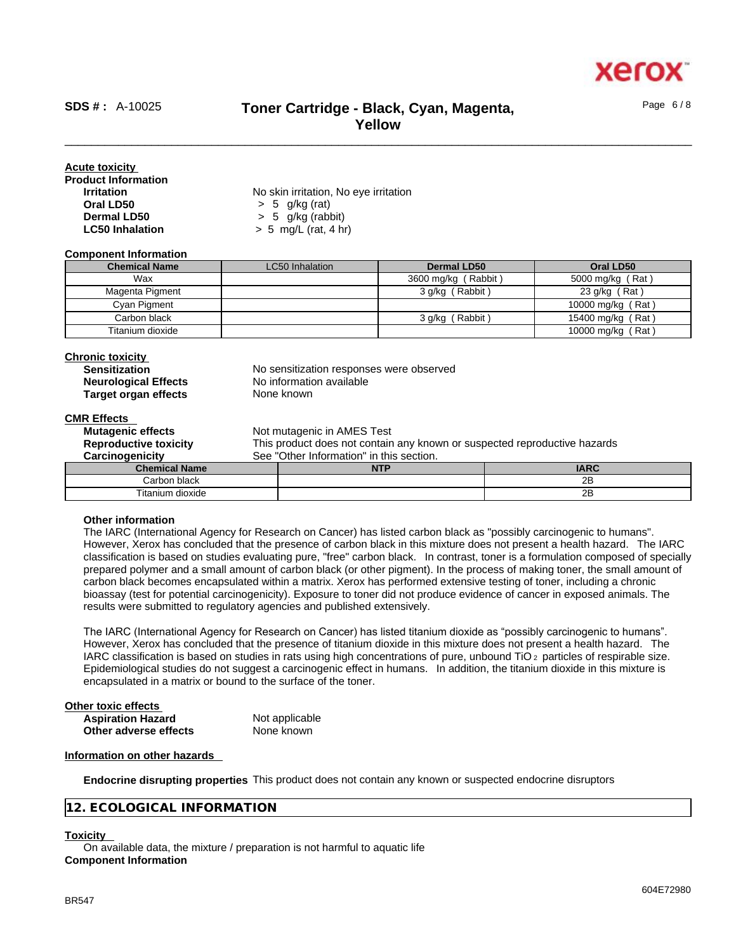

Page 6 / 8

### \_\_\_\_\_\_\_\_\_\_\_\_\_\_\_\_\_\_\_\_\_\_\_\_\_\_\_\_\_\_\_\_\_\_\_\_\_\_\_\_\_\_\_\_\_\_\_\_\_\_\_\_\_\_\_\_\_\_\_\_\_\_\_\_\_\_\_\_\_\_\_\_\_\_\_\_\_\_\_\_\_\_\_\_\_\_\_\_\_\_\_\_\_\_ **SDS # :** A-10025 **Toner Cartridge - Black, Cyan, Magenta, Yellow**

| Acute toxicity             |                                       |  |
|----------------------------|---------------------------------------|--|
| <b>Product Information</b> |                                       |  |
| <b>Irritation</b>          | No skin irritation, No eye irritation |  |
| Oral LD50                  | $> 5$ g/kg (rat)                      |  |
| Dermal LD50                | $> 5$ g/kg (rabbit)                   |  |
| <b>LC50 Inhalation</b>     | $> 5$ mg/L (rat, 4 hr)                |  |

### **Component Information**

| <b>Chemical Name</b> | LC50 Inhalation | Dermal LD50         | Oral LD50         |
|----------------------|-----------------|---------------------|-------------------|
| Wax                  |                 | 3600 mg/kg (Rabbit) | 5000 mg/kg (Rat)  |
| Magenta Pigment      |                 | 3 g/kg (Rabbit)     | 23 g/kg (Rat)     |
| Cyan Pigment         |                 |                     | 10000 mg/kg (Rat) |
| Carbon black         |                 | 3 g/kg (Rabbit)     | 15400 mg/kg (Rat) |
| Titanium dioxide     |                 |                     | 10000 mg/kg (Rat) |

### **Chronic toxicity**

| <b>Sensitization</b>        |  |
|-----------------------------|--|
| <b>Neurological Effects</b> |  |
| <b>Target organ effects</b> |  |

No sensitization responses were observed **No information available None known** 

### **CMR Effects**

| <b>Mutagenic effects</b>     |                                                                           | Not mutagenic in AMES Test |             |  |  |
|------------------------------|---------------------------------------------------------------------------|----------------------------|-------------|--|--|
|                              |                                                                           |                            |             |  |  |
| <b>Reproductive toxicity</b> | This product does not contain any known or suspected reproductive hazards |                            |             |  |  |
| Carcinogenicity              | See "Other Information" in this section.                                  |                            |             |  |  |
| <b>Chemical Name</b>         |                                                                           | <b>NTP</b>                 | <b>IARC</b> |  |  |
| Carbon black                 |                                                                           |                            | 2B          |  |  |
| Titanium dioxide             |                                                                           |                            | 2Β          |  |  |

### **Other information**

The IARC (International Agency for Research on Cancer) has listed carbon black as "possibly carcinogenic to humans". However, Xerox has concluded that the presence of carbon black in this mixture does not present a health hazard. The IARC classification is based on studies evaluating pure, "free" carbon black. In contrast, toner is a formulation composed of specially prepared polymer and a small amount of carbon black (or other pigment). In the process of making toner, the small amount of carbon black becomes encapsulated within a matrix. Xerox has performed extensive testing of toner, including a chronic bioassay (test for potential carcinogenicity). Exposure to toner did not produce evidence of cancer in exposed animals. The results were submitted to regulatory agencies and published extensively.

The IARC (International Agency for Research on Cancer) has listed titanium dioxide as "possibly carcinogenic to humans". However, Xerox has concluded that the presence of titanium dioxide in this mixture does not present a health hazard. The IARC classification is based on studies in rats using high concentrations of pure, unbound TiO 2 particles of respirable size. Epidemiological studies do not suggest a carcinogenic effect in humans. In addition, the titanium dioxide in this mixture is encapsulated in a matrix or bound to the surface of the toner.

| Other toxic effects      |                |  |
|--------------------------|----------------|--|
| <b>Aspiration Hazard</b> | Not applicable |  |
| Other adverse effects    | None known     |  |

### **Information on other hazards**

**Endocrine disrupting properties** This product does not contain any known or suspected endocrine disruptors

### **12. ECOLOGICAL INFORMATION**

### **Toxicity**

On available data, the mixture / preparation is not harmful to aquatic life **Component Information**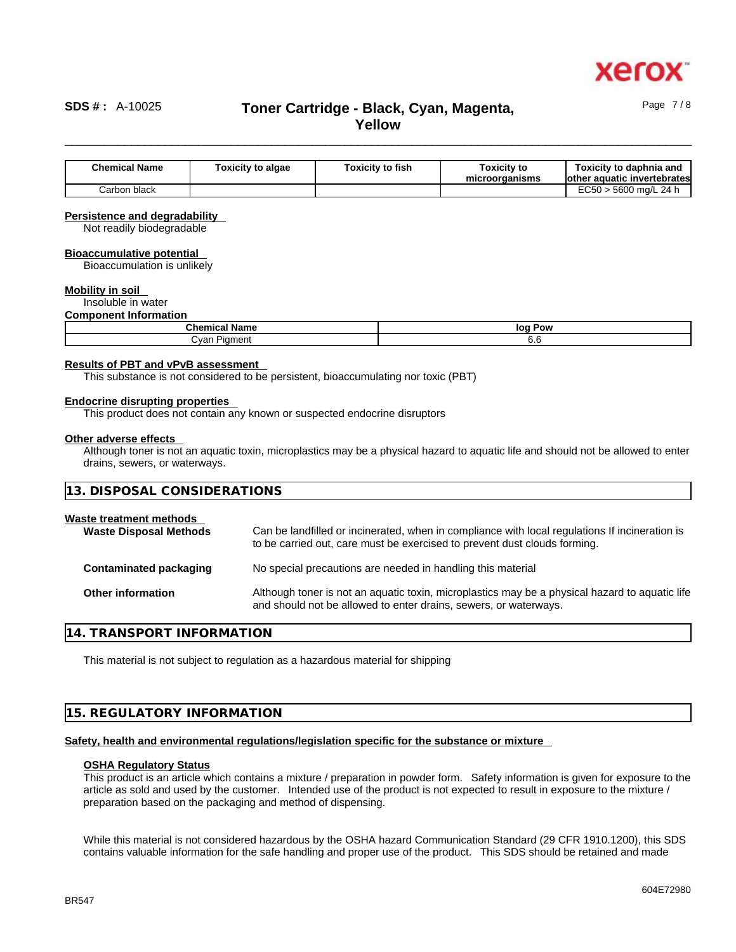

Page 7 / 8

### \_\_\_\_\_\_\_\_\_\_\_\_\_\_\_\_\_\_\_\_\_\_\_\_\_\_\_\_\_\_\_\_\_\_\_\_\_\_\_\_\_\_\_\_\_\_\_\_\_\_\_\_\_\_\_\_\_\_\_\_\_\_\_\_\_\_\_\_\_\_\_\_\_\_\_\_\_\_\_\_\_\_\_\_\_\_\_\_\_\_\_\_\_\_ **SDS # :** A-10025 **Toner Cartridge - Black, Cyan, Magenta, Yellow**

**Chemical Name Toxicity to algae Toxicity to fish Toxicity to microorganisms Toxicity to daphnia and other aquatic invertebrates**  Carbon black **EC50** > 5600 mg/L 24 h

### **Persistence and degradability**

Not readily biodegradable

#### **Bioaccumulative potential**

Bioaccumulation is unlikely

### **Mobility in soil**

Insoluble in water

### **Component Information**

| <b>Chemical Name</b> | loq<br>Pow |  |
|----------------------|------------|--|
| . .var<br>Piament    | v.c        |  |

### **Results of PBT and vPvB assessment**

This substance is not considered to be persistent, bioaccumulating nor toxic (PBT)

#### **Endocrine disrupting properties**

This product does not contain any known or suspected endocrine disruptors

#### **Other adverse effects**

Although toner is not an aquatic toxin, microplastics may be a physical hazard to aquatic life and should not be allowed to enter drains, sewers, or waterways.

| 13. DISPOSAL CONSIDERATIONS                              |                                                                                                                                                                             |
|----------------------------------------------------------|-----------------------------------------------------------------------------------------------------------------------------------------------------------------------------|
| Waste treatment methods<br><b>Waste Disposal Methods</b> | Can be landfilled or incinerated, when in compliance with local regulations If incineration is<br>to be carried out, care must be exercised to prevent dust clouds forming. |
| Contaminated packaging                                   | No special precautions are needed in handling this material                                                                                                                 |
| <b>Other information</b>                                 | Although toner is not an aquatic toxin, microplastics may be a physical hazard to aquatic life<br>and should not be allowed to enter drains, sewers, or waterways.          |

### **14. TRANSPORT INFORMATION**

This material is not subject to regulation as a hazardous material for shipping

### **15. REGULATORY INFORMATION**

### **Safety, health and environmental regulations/legislation specific for the substance or mixture**

### **OSHA Regulatory Status**

This product is an article which contains a mixture / preparation in powder form. Safety information is given for exposure to the article as sold and used by the customer. Intended use of the product is not expected to result in exposure to the mixture / preparation based on the packaging and method of dispensing.

While this material is not considered hazardous by the OSHA hazard Communication Standard (29 CFR 1910.1200), this SDS contains valuable information for the safe handling and proper use of the product. This SDS should be retained and made